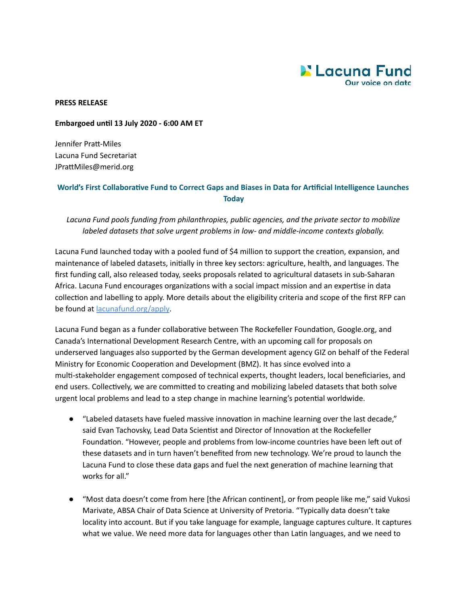

**PRESS RELEASE** 

## **Embargoed until 13 July 2020 - 6:00 AM ET**

Jennifer Pratt-Miles Lacuna Fund Secretariat JPrattMiles@merid.org

## World's First Collaborative Fund to Correct Gaps and Biases in Data for Artificial Intelligence Launches **Today**

*Lacuna Fund pools funding from philanthropies, public agencies, and the private sector to mobilize labeled datasets that solve urgent problems in low- and middle-income contexts globally.* 

Lacuna Fund launched today with a pooled fund of \$4 million to support the creation, expansion, and maintenance of labeled datasets, initially in three key sectors: agriculture, health, and languages. The first funding call, also released today, seeks proposals related to agricultural datasets in sub-Saharan Africa. Lacuna Fund encourages organizations with a social impact mission and an expertise in data collection and labelling to apply. More details about the eligibility criteria and scope of the first RFP can be found at [lacunafund.org/apply .](http://lacunafund.org/apply)

Lacuna Fund began as a funder collaborative between The Rockefeller Foundation, Google.org, and Canada's International Development Research Centre, with an upcoming call for proposals on underserved languages also supported by the German development agency GIZ on behalf of the Federal Ministry for Economic Cooperation and Development (BMZ). It has since evolved into a multi-stakeholder engagement composed of technical experts, thought leaders, local beneficiaries, and end users. Collectively, we are committed to creating and mobilizing labeled datasets that both solve urgent local problems and lead to a step change in machine learning's potential worldwide.

- "Labeled datasets have fueled massive innovation in machine learning over the last decade," said Evan Tachovsky, Lead Data Scientist and Director of Innovation at the Rockefeller Foundation. "However, people and problems from low-income countries have been left out of these datasets and in turn haven't benefited from new technology. We're proud to launch the Lacuna Fund to close these data gaps and fuel the next generation of machine learning that works for all."
- "Most data doesn't come from here [the African continent], or from people like me," said Vukosi Marivate, ABSA Chair of Data Science at University of Pretoria. "Typically data doesn't take locality into account. But if you take language for example, language captures culture. It captures what we value. We need more data for languages other than Latin languages, and we need to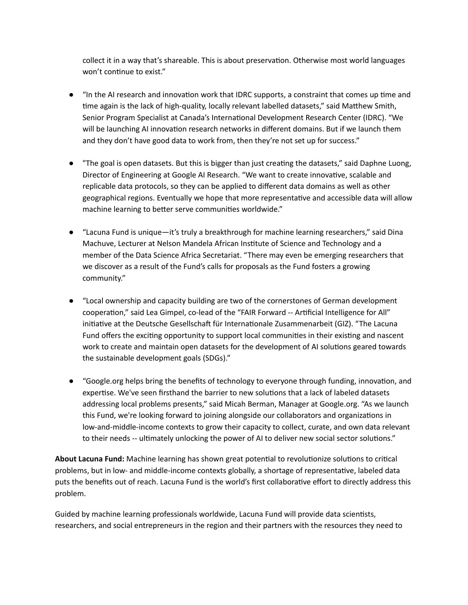collect it in a way that's shareable. This is about preservation. Otherwise most world languages won't continue to exist."

- $\bullet$  "In the AI research and innovation work that IDRC supports, a constraint that comes up time and time again is the lack of high-quality, locally relevant labelled datasets," said Matthew Smith, Senior Program Specialist at Canada's International Development Research Center (IDRC). "We will be launching AI innovation research networks in different domains. But if we launch them and they don't have good data to work from, then they're not set up for success."
- "The goal is open datasets. But this is bigger than just creating the datasets," said Daphne Luong, Director of Engineering at Google AI Research. "We want to create innovative, scalable and replicable data protocols, so they can be applied to different data domains as well as other geographical regions. Eventually we hope that more representative and accessible data will allow machine learning to better serve communities worldwide."
- "Lacuna Fund is unique—it's truly a breakthrough for machine learning researchers," said Dina Machuve, Lecturer at Nelson Mandela African Institute of Science and Technology and a member of the Data Science Africa Secretariat. "There may even be emerging researchers that we discover as a result of the Fund's calls for proposals as the Fund fosters a growing community."
- "Local ownership and capacity building are two of the cornerstones of German development cooperation," said Lea Gimpel, co-lead of the "FAIR Forward -- Artificial Intelligence for All" initiative at the Deutsche Gesellschaft für Internationale Zusammenarbeit (GIZ). "The Lacuna Fund offers the exciting opportunity to support local communities in their existing and nascent work to create and maintain open datasets for the development of AI solutions geared towards the sustainable development goals (SDGs)."
- "Google.org helps bring the benefits of technology to everyone through funding, innovation, and expertise. We've seen firsthand the barrier to new solutions that a lack of labeled datasets addressing local problems presents," said Micah Berman, Manager at Google.org. "As we launch this Fund, we're looking forward to joining alongside our collaborators and organizations in low-and-middle-income contexts to grow their capacity to collect, curate, and own data relevant to their needs -- ultimately unlocking the power of AI to deliver new social sector solutions."

About Lacuna Fund: Machine learning has shown great potential to revolutionize solutions to critical problems, but in low- and middle-income contexts globally, a shortage of representative, labeled data puts the benefits out of reach. Lacuna Fund is the world's first collaborative effort to directly address this problem.

Guided by machine learning professionals worldwide, Lacuna Fund will provide data scientists, researchers, and social entrepreneurs in the region and their partners with the resources they need to